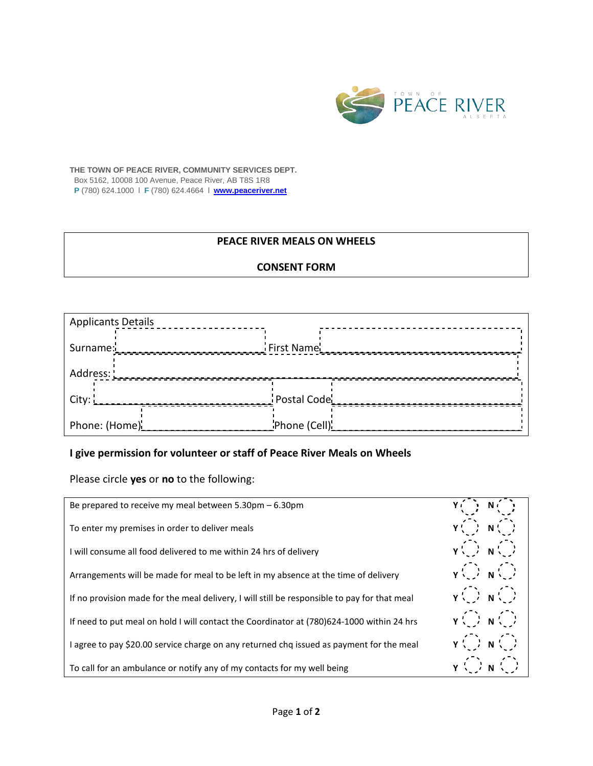

**THE TOWN OF PEACE RIVER, COMMUNITY SERVICES DEPT.** Box 5162, 10008 100 Avenue, Peace River, AB T8S 1R8

**P** (780) 624.1000 l **F** (780) 624.4664 l **www.peaceriver.net**

## **PEACE RIVER MEALS ON WHEELS**

## **CONSENT FORM**

| <b>Applicants Details</b> |              |  |  |
|---------------------------|--------------|--|--|
| Surname:                  | First Name   |  |  |
| Address: L                |              |  |  |
| City:                     | Postal Code  |  |  |
| Phone: (Home)             | Phone (Cell) |  |  |

## **I give permission for volunteer or staff of Peace River Meals on Wheels**

Please circle **yes** or **no** to the following:

| Be prepared to receive my meal between $5.30 \text{pm} - 6.30 \text{pm}$                     | $Y(\cdot) N(\cdot)$                             |
|----------------------------------------------------------------------------------------------|-------------------------------------------------|
| To enter my premises in order to deliver meals                                               | $Y(\cdot) N(\cdot)$                             |
| I will consume all food delivered to me within 24 hrs of delivery                            | $\gamma(\cdot)$ $\gamma(\cdot)$                 |
| Arrangements will be made for meal to be left in my absence at the time of delivery          | $\gamma(\cdot)$ $\gamma(\cdot)$                 |
| If no provision made for the meal delivery, I will still be responsible to pay for that meal | $\gamma(\cdot)$ $\gamma(\cdot)$                 |
| If need to put meal on hold I will contact the Coordinator at (780)624-1000 within 24 hrs    | $\gamma(\cdot)$ $\gamma(\cdot)$                 |
| I agree to pay \$20.00 service charge on any returned chq issued as payment for the meal     | $\gamma$ $\binom{2}{1}$ $N$ $\binom{2}{1}$      |
| To call for an ambulance or notify any of my contacts for my well being                      | $\gamma$ $\binom{7}{2}$ $\gamma$ $\binom{7}{2}$ |